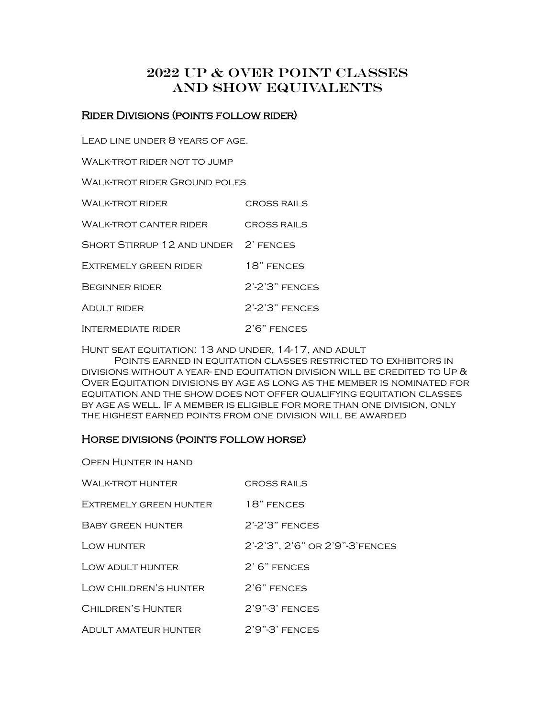# 2022 Up & Over point classes And show equivalents

# Rider Divisions (points follow rider)

Lead line under 8 years of age.

WALK-TROT RIDER NOT TO JUMP

Walk-trot rider Ground poles

| Wai k-trot rider                     | <b>CROSS RAILS</b>   |
|--------------------------------------|----------------------|
| Walk-trot canter rider               | <b>CROSS RAILS</b>   |
| SHORT STIRRUP 12 AND UNDER 2' FENCES |                      |
| <b>EXTREMELY GREEN RIDER</b>         | 18" FENCES           |
| BEGINNER RIDER                       | $2'$ - $2'3"$ FENCES |
| <b>ADULT RIDER</b>                   | $2'$ - $2'3"$ FENCES |
| <b>INTERMEDIATE RIDER</b>            | $2'6"$ FENCES        |

Hunt seat equitation: 13 and under, 14-17, and adult

Points earned in equitation classes restricted to exhibitors in DIVISIONS WITHOUT A YEAR- END EQUITATION DIVISION WILL BE CREDITED TO UP  $\&$ Over Equitation divisions by age as long as the member is nominated for equitation and the show does not offer qualifying equitation classes by age as well. If a member is eligible for more than one division, only the highest earned points from one division will be awarded

# Horse divisions (points follow horse)

Open Hunter in hand

| <b>WALK-TROT HUNTER</b> | <b>CROSS RAILS</b>             |
|-------------------------|--------------------------------|
| EXTREMELY GREEN HUNTER  | 18" FENCES                     |
| BABY GREEN HUNTER       | $2'$ - $2'3"$ FENCES           |
| <b>LOW HUNTER</b>       | 2'-2'3", 2'6" OR 2'9"-3'FENCES |
| LOW ADULT HUNTER        | $2'$ 6" FENCES                 |
| LOW CHILDREN'S HUNTER   | $2'6"$ FENCES                  |
| CHILDREN'S HUNTER       | $2'9''-3'$ FENCES              |
| ADULT AMATEUR HUNTER    | 2'9"-3' FENCES                 |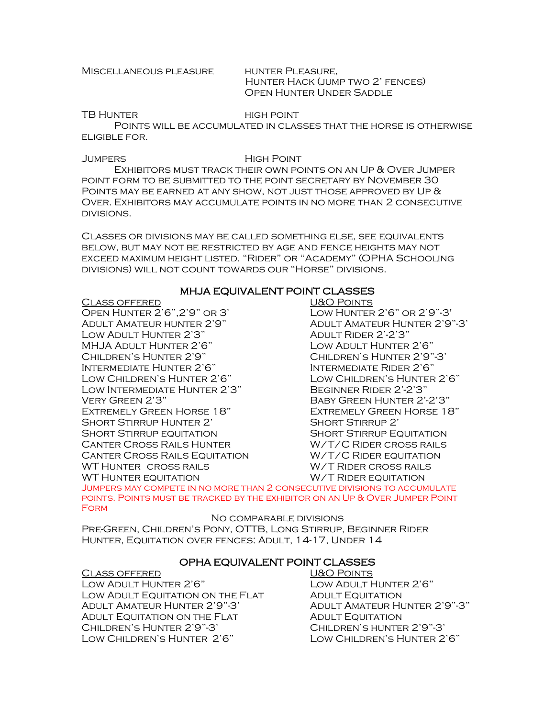#### MISCELLANEOUS PLEASURE HUNTER PLEASURE,

 Hunter Hack (jump two 2' fences) Open Hunter Under Saddle

TB HUNTER HIGH POINT

Points will be accumulated in classes that the horse is otherwise eligible for.

#### Jumpers High Point

Exhibitors must track their own points on an Up & Over Jumper point form to be submitted to the point secretary by November 30 POINTS MAY BE EARNED AT ANY SHOW, NOT JUST THOSE APPROVED BY UP  $\&$ Over. Exhibitors may accumulate points in no more than 2 consecutive divisions.

Classes or divisions may be called something else, see equivalents below, but may not be restricted by age and fence heights may not exceed maximum height listed. "Rider" or "Academy" (OPHA Schooling divisions) will not count towards our "Horse" divisions.

# MHJA EQUIVALENT POINT CLASSES

Class offered U&O Points Open Hunter 2'6",2'9" or 3' Low Hunter 2'6" or 2'9"-3' Adult Amateur hunter 2'9" Adult Amateur Hunter 2'9"-3' Low Adult Hunter 2'3" Adult Rider 2'-2'3" MHJA Adult Hunter 2'6" Low Adult Hunter 2'6" Children's Hunter 2'9" Children's Hunter 2'9"-3' Intermediate Hunter 2'6" Intermediate Rider 2'6" Low Children's Hunter 2'6" Low Children's Hunter 2'6" Low Intermediate Hunter 2'3" Beginner Rider 2'-2'3" Very Green 2'3" Baby Green Hunter 2'-2'3" Extremely Green Horse 18" Extremely Green Horse 18" SHORT STIRRUP HUNTER 2' SHORT STIRRUP 2' SHORT STIRRUP EQUITATION SHORT STIRRUP EQUITATION CANTER CROSS RAILS HUNTER W/T/C RIDER CROSS RAILS Canter Cross Rails Equitation W/T/C Rider equitation WT Hunter cross rails W/T Rider cross rails WT HUNTER EQUITATION **WAT RIGER EQUITATION** 

Jumpers may compete in no more than 2 consecutive divisions to accumulate points. Points must be tracked by the exhibitor on an Up & Over Jumper Point **FORM** 

No comparable divisions

Pre-Green, Children's Pony, OTTB, Long Stirrup, Beginner Rider Hunter, Equitation over fences: Adult, 14-17, Under 14

# OPHA EQUIVALENT POINT CLASSES

Class offered U&O Points Low Adult Hunter 2'6" Low Adult Hunter 2'6" Low Adult Equitation on the Flat Adult Equitation Adult Amateur Hunter 2'9"-3' Adult Amateur Hunter 2'9"-3" ADULT EQUITATION ON THE FLAT ADULT EQUITATION Children's Hunter 2'9"-3' Children's hunter 2'9"-3' Low Children's Hunter 2'6" Low Children's Hunter 2'6"